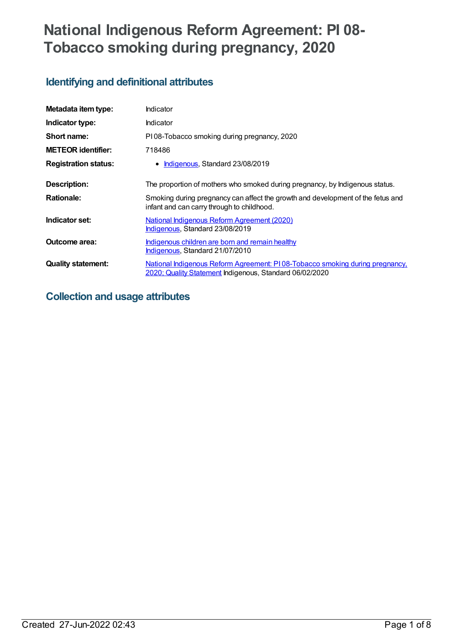# **National Indigenous Reform Agreement: PI 08- Tobacco smoking during pregnancy, 2020**

# **Identifying and definitional attributes**

| Metadata item type:         | Indicator                                                                                                                               |
|-----------------------------|-----------------------------------------------------------------------------------------------------------------------------------------|
| Indicator type:             | <b>Indicator</b>                                                                                                                        |
| Short name:                 | PI08-Tobacco smoking during pregnancy, 2020                                                                                             |
| <b>METEOR identifier:</b>   | 718486                                                                                                                                  |
| <b>Registration status:</b> | Indigenous, Standard 23/08/2019                                                                                                         |
| <b>Description:</b>         | The proportion of mothers who smoked during pregnancy, by Indigenous status.                                                            |
| <b>Rationale:</b>           | Smoking during pregnancy can affect the growth and development of the fetus and<br>infant and can carry through to childhood.           |
| Indicator set:              | National Indigenous Reform Agreement (2020)<br>Indigenous, Standard 23/08/2019                                                          |
| Outcome area:               | Indigenous children are born and remain healthy<br>Indigenous, Standard 21/07/2010                                                      |
| <b>Quality statement:</b>   | National Indigenous Reform Agreement: PI08-Tobacco smoking during pregnancy,<br>2020; Quality Statement Indigenous, Standard 06/02/2020 |

## **Collection and usage attributes**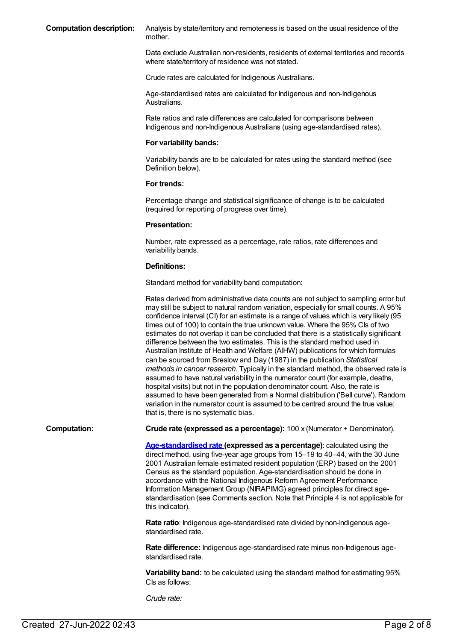**Computation description:** Analysis by state/territory and remoteness is based on the usual residence of the mother.

> Data exclude Australian non-residents, residents of external territories and records where state/territory of residence was not stated.

Crude rates are calculated for Indigenous Australians.

Age-standardised rates are calculated for Indigenous and non-Indigenous Australians.

Rate ratios and rate differences are calculated for comparisons between Indigenous and non-Indigenous Australians (using age-standardised rates).

#### **For variability bands:**

Variability bands are to be calculated for rates using the standard method (see Definition below).

#### **For trends:**

Percentage change and statistical significance of change is to be calculated (required for reporting of progress over time).

#### **Presentation:**

Number, rate expressed as a percentage, rate ratios, rate differences and variability bands.

#### **Definitions:**

Standard method for variability band computation:

Rates derived from administrative data counts are not subject to sampling error but may still be subject to natural random variation, especially for small counts. A 95% confidence interval (CI) for an estimate is a range of values which is very likely (95 times out of 100) to contain the true unknown value. Where the 95% CIs of two estimates do not overlap it can be concluded that there is a statistically significant difference between the two estimates. This is the standard method used in Australian Institute of Health and Welfare (AIHW) publications for which formulas can be sourced from Breslow and Day (1987) in the publication *Statistical methods in cancer research*. Typically in the standard method, the observed rate is assumed to have natural variability in the numerator count (for example, deaths, hospital visits) but not in the population denominator count. Also, the rate is assumed to have been generated from a Normal distribution ('Bell curve'). Random variation in the numerator count is assumed to be centred around the true value; that is, there is no systematic bias.

**Computation: Crude rate (expressed as a percentage):** 100 x (Numerator ÷ Denominator).

**[Age-standardised](https://meteor.aihw.gov.au/content/327276) rate (expressed as a percentage)**: calculated using the direct method, using five-year age groups from 15–19 to 40–44, with the 30 June 2001 Australian female estimated resident population (ERP) based on the 2001 Census as the standard population. Age-standardisation should be done in accordance with the National Indigenous Reform Agreement Performance Information Management Group (NIRAPIMG) agreed principles for direct agestandardisation (see Comments section. Note that Principle 4 is not applicable for this indicator).

**Rate ratio**: Indigenous age-standardised rate divided by non-Indigenous agestandardised rate.

**Rate difference:** Indigenous age-standardised rate minus non-Indigenous agestandardised rate.

**Variability band:** to be calculated using the standard method for estimating 95% CIs as follows:

*Crude rate:*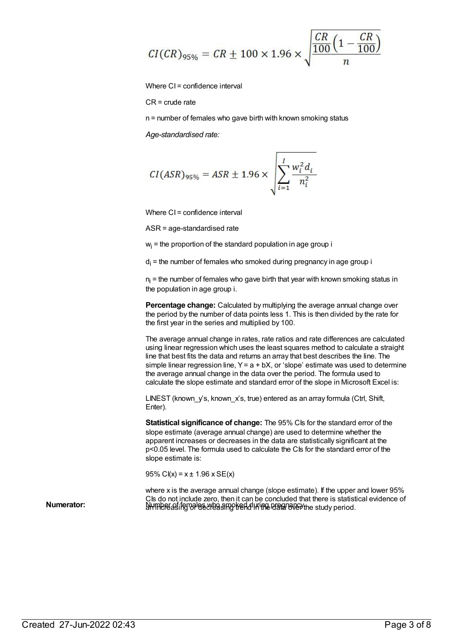$$
CI(CR)_{95\%} = CR \pm 100 \times 1.96 \times \sqrt{\frac{CR}{100} \left(1 - \frac{CR}{100}\right)}
$$

Where CI = confidence interval

CR = crude rate

n = number of females who gave birth with known smoking status

*Age-standardised rate:*

$$
CI(ASR)_{95\%} = ASR \pm 1.96 \times \sqrt{\sum_{i=1}^{I} \frac{w_i^2 d_i}{n_i^2}}
$$

Where CI = confidence interval

ASR = age-standardised rate

 $w<sub>i</sub>$  = the proportion of the standard population in age group i

 $d_i$  = the number of females who smoked during pregnancy in age group i

 $n_i$  = the number of females who gave birth that year with known smoking status in the population in age group i.

**Percentage change:** Calculated by multiplying the average annual change over the period by the number of data points less 1. This is then divided by the rate for the first year in the series and multiplied by 100.

The average annual change in rates, rate ratios and rate differences are calculated using linear regression which uses the least squares method to calculate a straight line that best fits the data and returns an array that best describes the line. The simple linear regression line,  $Y = a + bX$ , or 'slope' estimate was used to determine the average annual change in the data over the period. The formula used to calculate the slope estimate and standard error of the slope in Microsoft Excel is:

LINEST (known y's, known x's, true) entered as an array formula (Ctrl, Shift, Enter).

**Statistical significance of change:** The 95% CIs for the standard error of the slope estimate (average annual change) are used to determine whether the apparent increases or decreases in the data are statistically significant at the p<0.05 level. The formula used to calculate the CIs for the standard error of the slope estimate is:

95% C $I(x) = x \pm 1.96$  x SE $(x)$ 

where x is the average annual change (slope estimate). If the upper and lower 95% CIs do not include zero, then it can be concluded that there is statistical evidence of **Numerator: umerator: umerator: umerator: umerator: umerator: umerator: umerator: umerator: umerator: umerator: umerator: umerator: umerator: umerator: umerator: umerator: umerator: umer**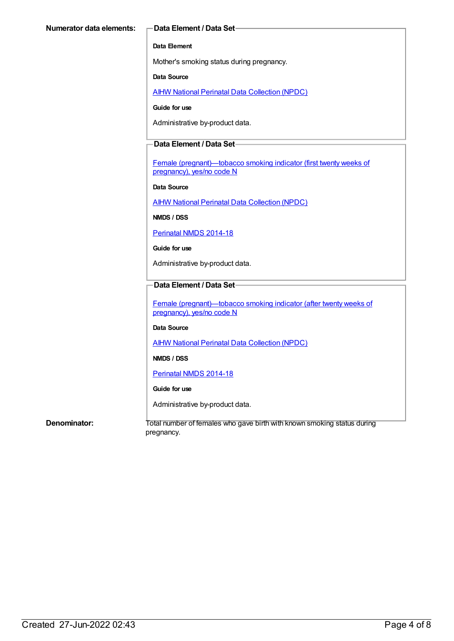### **Data Element**

Mother's smoking status during pregnancy.

#### **Data Source**

**AIHW National Perinatal Data [Collection](https://meteor.aihw.gov.au/content/392479) (NPDC)** 

#### **Guide for use**

Administrative by-product data.

### **Data Element / Data Set**

Female [\(pregnant\)—tobacco](https://meteor.aihw.gov.au/content/365404) smoking indicator (first twenty weeks of pregnancy), yes/no code N

#### **Data Source**

AIHW National Perinatal Data [Collection](https://meteor.aihw.gov.au/content/392479) (NPDC)

**NMDS / DSS**

[Perinatal](https://meteor.aihw.gov.au/content/517456) NMDS 2014-18

#### **Guide for use**

Administrative by-product data.

### **Data Element / Data Set**

Female [\(pregnant\)—tobacco](https://meteor.aihw.gov.au/content/365417) smoking indicator (after twenty weeks of pregnancy), yes/no code N

### **Data Source**

AIHW National Perinatal Data [Collection](https://meteor.aihw.gov.au/content/392479) (NPDC)

**NMDS / DSS**

[Perinatal](https://meteor.aihw.gov.au/content/517456) NMDS 2014-18

### **Guide for use**

Administrative by-product data.

**Denominator:** Total number of females who gave birth with known smoking status during pregnancy.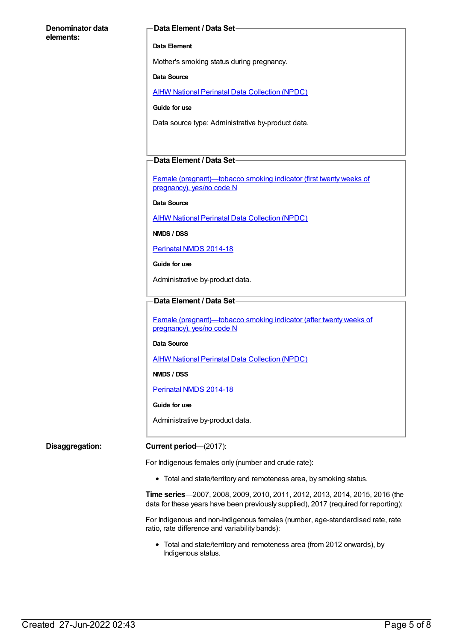#### **Denominator data elements:**

#### **Data Element / Data Set**

#### **Data Element**

Mother's smoking status during pregnancy.

#### **Data Source**

AIHW National Perinatal Data [Collection](https://meteor.aihw.gov.au/content/392479) (NPDC)

#### **Guide for use**

Data source type: Administrative by-product data.

#### **Data Element / Data Set**

Female [\(pregnant\)—tobacco](https://meteor.aihw.gov.au/content/365404) smoking indicator (first twenty weeks of pregnancy), yes/no code N

#### **Data Source**

AIHW National Perinatal Data [Collection](https://meteor.aihw.gov.au/content/392479) (NPDC)

**NMDS / DSS**

#### [Perinatal](https://meteor.aihw.gov.au/content/517456) NMDS 2014-18

**Guide for use**

Administrative by-product data.

#### **Data Element / Data Set**

Female [\(pregnant\)—tobacco](https://meteor.aihw.gov.au/content/365417) smoking indicator (after twenty weeks of pregnancy), yes/no code N

#### **Data Source**

AIHW National Perinatal Data [Collection](https://meteor.aihw.gov.au/content/392479) (NPDC)

**NMDS / DSS**

[Perinatal](https://meteor.aihw.gov.au/content/517456) NMDS 2014-18

#### **Guide for use**

Administrative by-product data.

#### **Disaggregation: Current period**—(2017):

For Indigenous females only (number and crude rate):

Total and state/territory and remoteness area, by smoking status.

**Time series**—2007, 2008, 2009, 2010, 2011, 2012, 2013, 2014, 2015, 2016 (the data for these years have been previously supplied), 2017 (required for reporting):

For Indigenous and non-Indigenous females (number, age-standardised rate, rate ratio, rate difference and variability bands):

Total and state/territory and remoteness area (from 2012 onwards), by Indigenous status.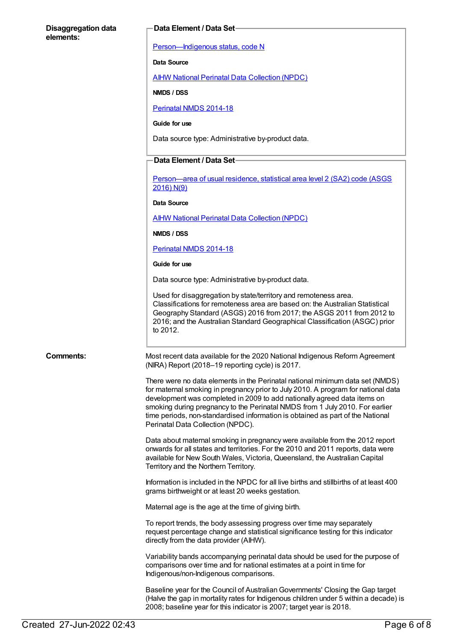#### **Disaggregation data elements:**

#### **Data Element / Data Set**

[Person—Indigenous](https://meteor.aihw.gov.au/content/291036) status, code N

#### **Data Source**

AIHW National Perinatal Data [Collection](https://meteor.aihw.gov.au/content/392479) (NPDC)

**NMDS / DSS**

[Perinatal](https://meteor.aihw.gov.au/content/517456) NMDS 2014-18

**Guide for use**

Data source type: Administrative by-product data.

#### **Data Element / Data Set**

[Person—area](https://meteor.aihw.gov.au/content/659725) of usual residence, statistical area level 2 (SA2) code (ASGS 2016) N(9)

#### **Data Source**

AIHW National Perinatal Data [Collection](https://meteor.aihw.gov.au/content/392479) (NPDC)

**NMDS / DSS**

[Perinatal](https://meteor.aihw.gov.au/content/517456) NMDS 2014-18

**Guide for use**

Data source type: Administrative by-product data.

Used for disaggregation by state/territory and remoteness area. Classifications for remoteness area are based on: the Australian Statistical Geography Standard (ASGS) 2016 from 2017; the ASGS 2011 from 2012 to 2016; and the Australian Standard Geographical Classification (ASGC) prior to 2012.

**Comments:** Most recent data available for the 2020 National Indigenous Reform Agreement (NIRA) Report (2018–19 reporting cycle) is 2017.

> There were no data elements in the Perinatal national minimum data set (NMDS) for maternal smoking in pregnancy prior to July 2010. A program for national data development was completed in 2009 to add nationally agreed data items on smoking during pregnancy to the Perinatal NMDS from 1 July 2010. For earlier time periods, non-standardised information is obtained as part of the National Perinatal Data Collection (NPDC).

Data about maternal smoking in pregnancy were available from the 2012 report onwards for all states and territories. For the 2010 and 2011 reports, data were available for New South Wales, Victoria, Queensland, the Australian Capital Territory and the Northern Territory.

Information is included in the NPDC for all live births and stillbirths of at least 400 grams birthweight or at least 20 weeks gestation.

Maternal age is the age at the time of giving birth.

To report trends, the body assessing progress over time may separately request percentage change and statistical significance testing for this indicator directly from the data provider (AIHW).

Variability bands accompanying perinatal data should be used for the purpose of comparisons over time and for national estimates at a point in time for Indigenous/non-Indigenous comparisons.

Baseline year for the Council of Australian Governments' Closing the Gap target (Halve the gap in mortality rates for Indigenous children under 5 within a decade) is 2008; baseline year for this indicator is 2007; target year is 2018.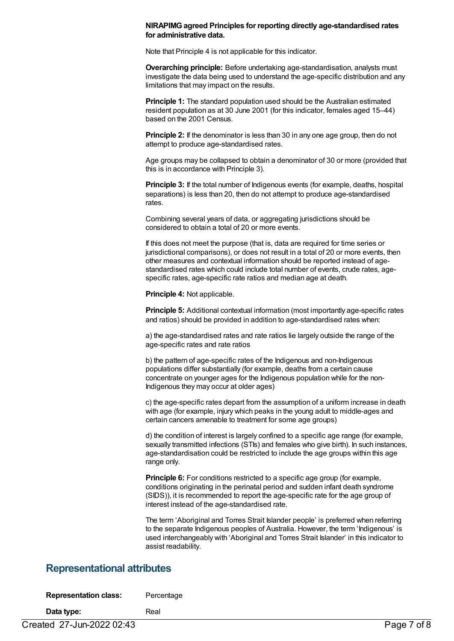#### **NIRAPIMGagreed Principles for reporting directly age-standardised rates for administrative data.**

Note that Principle 4 is not applicable for this indicator.

**Overarching principle:** Before undertaking age-standardisation, analysts must investigate the data being used to understand the age-specific distribution and any limitations that may impact on the results.

**Principle 1:** The standard population used should be the Australian estimated resident population as at 30 June 2001 (for this indicator, females aged 15–44) based on the 2001 Census.

**Principle 2:** If the denominator is less than 30 in any one age group, then do not attempt to produce age-standardised rates.

Age groups may be collapsed to obtain a denominator of 30 or more (provided that this is in accordance with Principle 3).

**Principle 3:** If the total number of Indigenous events (for example, deaths, hospital separations) is less than 20, then do not attempt to produce age-standardised rates.

Combining several years of data, or aggregating jurisdictions should be considered to obtain a total of 20 or more events.

If this does not meet the purpose (that is, data are required for time series or jurisdictional comparisons), or does not result in a total of 20 or more events, then other measures and contextual information should be reported instead of agestandardised rates which could include total number of events, crude rates, agespecific rates, age-specific rate ratios and median age at death.

**Principle 4:** Not applicable.

**Principle 5:** Additional contextual information (most importantly age-specific rates and ratios) should be provided in addition to age-standardised rates when:

a) the age-standardised rates and rate ratios lie largely outside the range of the age-specific rates and rate ratios

b) the pattern of age-specific rates of the Indigenous and non-Indigenous populations differ substantially (for example, deaths from a certain cause concentrate on younger ages for the Indigenous population while for the non-Indigenous they may occur at older ages)

c) the age-specific rates depart from the assumption of a uniform increase in death with age (for example, injury which peaks in the young adult to middle-ages and certain cancers amenable to treatment for some age groups)

d) the condition of interest is largely confined to a specific age range (for example, sexually transmitted infections (STIs) and females who give birth). In such instances, age-standardisation could be restricted to include the age groups within this age range only.

**Principle 6:** For conditions restricted to a specific age group (for example, conditions originating in the perinatal period and sudden infant death syndrome (SIDS)), it is recommended to report the age-specific rate for the age group of interest instead of the age-standardised rate.

The term 'Aboriginal and Torres Strait Islander people' is preferred when referring to the separate Indigenous peoples of Australia. However, the term 'Indigenous' is used interchangeably with 'Aboriginal and Torres Strait Islander' in this indicator to assist readability.

## **Representational attributes**

| <b>Representation class:</b> | Percentage |
|------------------------------|------------|
|------------------------------|------------|

**Data type:** Real